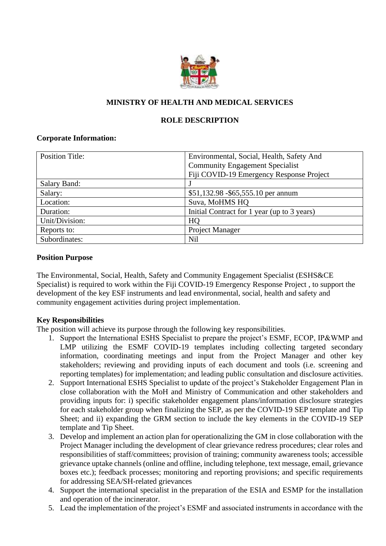

## **MINISTRY OF HEALTH AND MEDICAL SERVICES**

### **ROLE DESCRIPTION**

### **Corporate Information:**

| <b>Position Title:</b> | Environmental, Social, Health, Safety And   |
|------------------------|---------------------------------------------|
|                        | <b>Community Engagement Specialist</b>      |
|                        | Fiji COVID-19 Emergency Response Project    |
| Salary Band:           |                                             |
| Salary:                | \$51,132.98 - \$65,555.10 per annum         |
| Location:              | Suva, MoHMS HQ                              |
| Duration:              | Initial Contract for 1 year (up to 3 years) |
| Unit/Division:         | HQ                                          |
| Reports to:            | <b>Project Manager</b>                      |
| Subordinates:          | <b>Nil</b>                                  |

### **Position Purpose**

The Environmental, Social, Health, Safety and Community Engagement Specialist (ESHS&CE Specialist) is required to work within the Fiji COVID-19 Emergency Response Project , to support the development of the key ESF instruments and lead environmental, social, health and safety and community engagement activities during project implementation.

### **Key Responsibilities**

The position will achieve its purpose through the following key responsibilities.

- 1. Support the International ESHS Specialist to prepare the project's ESMF, ECOP, IP&WMP and LMP utilizing the ESMF COVID-19 templates including collecting targeted secondary information, coordinating meetings and input from the Project Manager and other key stakeholders; reviewing and providing inputs of each document and tools (i.e. screening and reporting templates) for implementation; and leading public consultation and disclosure activities.
- 2. Support International ESHS Specialist to update of the project's Stakeholder Engagement Plan in close collaboration with the MoH and Ministry of Communication and other stakeholders and providing inputs for: i) specific stakeholder engagement plans/information disclosure strategies for each stakeholder group when finalizing the SEP, as per the COVID-19 SEP template and Tip Sheet; and ii) expanding the GRM section to include the key elements in the COVID-19 SEP template and Tip Sheet.
- 3. Develop and implement an action plan for operationalizing the GM in close collaboration with the Project Manager including the development of clear grievance redress procedures; clear roles and responsibilities of staff/committees; provision of training; community awareness tools; accessible grievance uptake channels (online and offline, including telephone, text message, email, grievance boxes etc.); feedback processes; monitoring and reporting provisions; and specific requirements for addressing SEA/SH-related grievances
- 4. Support the international specialist in the preparation of the ESIA and ESMP for the installation and operation of the incinerator.
- 5. Lead the implementation of the project's ESMF and associated instruments in accordance with the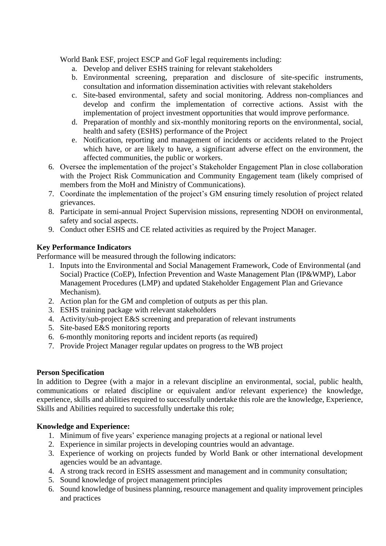World Bank ESF, project ESCP and GoF legal requirements including:

- a. Develop and deliver ESHS training for relevant stakeholders
- b. Environmental screening, preparation and disclosure of site-specific instruments, consultation and information dissemination activities with relevant stakeholders
- c. Site-based environmental, safety and social monitoring. Address non-compliances and develop and confirm the implementation of corrective actions. Assist with the implementation of project investment opportunities that would improve performance.
- d. Preparation of monthly and six-monthly monitoring reports on the environmental, social, health and safety (ESHS) performance of the Project
- e. Notification, reporting and management of incidents or accidents related to the Project which have, or are likely to have, a significant adverse effect on the environment, the affected communities, the public or workers.
- 6. Oversee the implementation of the project's Stakeholder Engagement Plan in close collaboration with the Project Risk Communication and Community Engagement team (likely comprised of members from the MoH and Ministry of Communications).
- 7. Coordinate the implementation of the project's GM ensuring timely resolution of project related grievances.
- 8. Participate in semi-annual Project Supervision missions, representing NDOH on environmental, safety and social aspects.
- 9. Conduct other ESHS and CE related activities as required by the Project Manager.

# **Key Performance Indicators**

Performance will be measured through the following indicators:

- 1. Inputs into the Environmental and Social Management Framework, Code of Environmental (and Social) Practice (CoEP), Infection Prevention and Waste Management Plan (IP&WMP), Labor Management Procedures (LMP) and updated Stakeholder Engagement Plan and Grievance Mechanism).
- 2. Action plan for the GM and completion of outputs as per this plan.
- 3. ESHS training package with relevant stakeholders
- 4. Activity/sub-project E&S screening and preparation of relevant instruments
- 5. Site-based E&S monitoring reports
- 6. 6-monthly monitoring reports and incident reports (as required)
- 7. Provide Project Manager regular updates on progress to the WB project

## **Person Specification**

In addition to Degree (with a major in a relevant discipline an environmental, social, public health, communications or related discipline or equivalent and/or relevant experience) the knowledge, experience, skills and abilities required to successfully undertake this role are the knowledge, Experience, Skills and Abilities required to successfully undertake this role:

## **Knowledge and Experience:**

- 1. Minimum of five years' experience managing projects at a regional or national level
- 2. Experience in similar projects in developing countries would an advantage.
- 3. Experience of working on projects funded by World Bank or other international development agencies would be an advantage.
- 4. A strong track record in ESHS assessment and management and in community consultation;
- 5. Sound knowledge of project management principles
- 6. Sound knowledge of business planning, resource management and quality improvement principles and practices